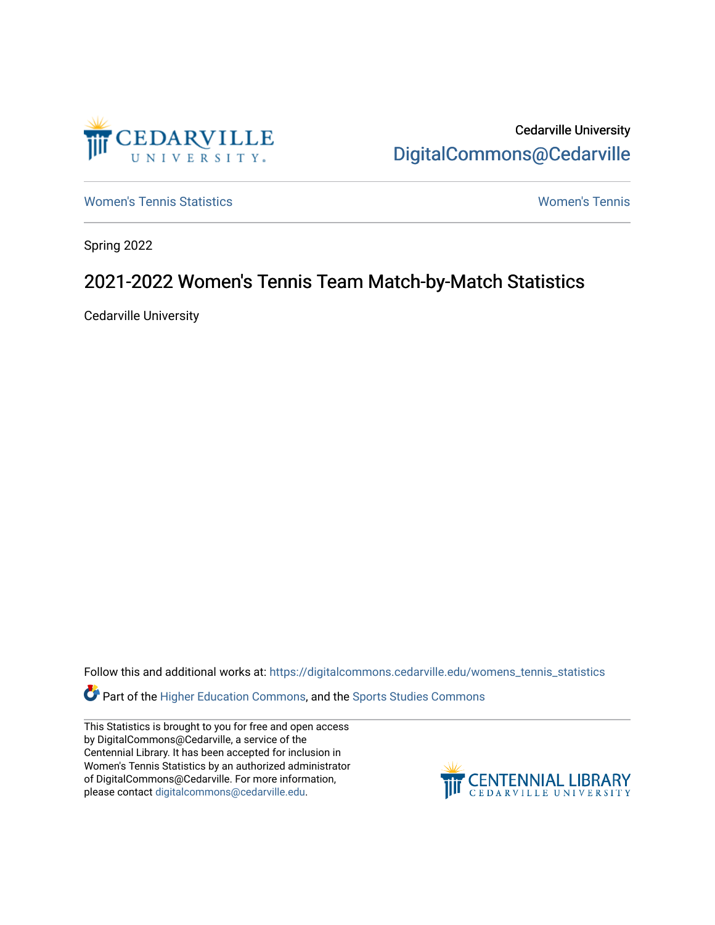

Cedarville University [DigitalCommons@Cedarville](https://digitalcommons.cedarville.edu/) 

[Women's Tennis Statistics](https://digitalcommons.cedarville.edu/womens_tennis_statistics) [Women's Tennis](https://digitalcommons.cedarville.edu/womens_tennis) 

Spring 2022

## 2021-2022 Women's Tennis Team Match-by-Match Statistics

Cedarville University

Follow this and additional works at: [https://digitalcommons.cedarville.edu/womens\\_tennis\\_statistics](https://digitalcommons.cedarville.edu/womens_tennis_statistics?utm_source=digitalcommons.cedarville.edu%2Fwomens_tennis_statistics%2F335&utm_medium=PDF&utm_campaign=PDFCoverPages) 

Part of the [Higher Education Commons,](https://network.bepress.com/hgg/discipline/1245?utm_source=digitalcommons.cedarville.edu%2Fwomens_tennis_statistics%2F335&utm_medium=PDF&utm_campaign=PDFCoverPages) and the [Sports Studies Commons](https://network.bepress.com/hgg/discipline/1198?utm_source=digitalcommons.cedarville.edu%2Fwomens_tennis_statistics%2F335&utm_medium=PDF&utm_campaign=PDFCoverPages) 

This Statistics is brought to you for free and open access by DigitalCommons@Cedarville, a service of the Centennial Library. It has been accepted for inclusion in Women's Tennis Statistics by an authorized administrator of DigitalCommons@Cedarville. For more information, please contact [digitalcommons@cedarville.edu](mailto:digitalcommons@cedarville.edu).